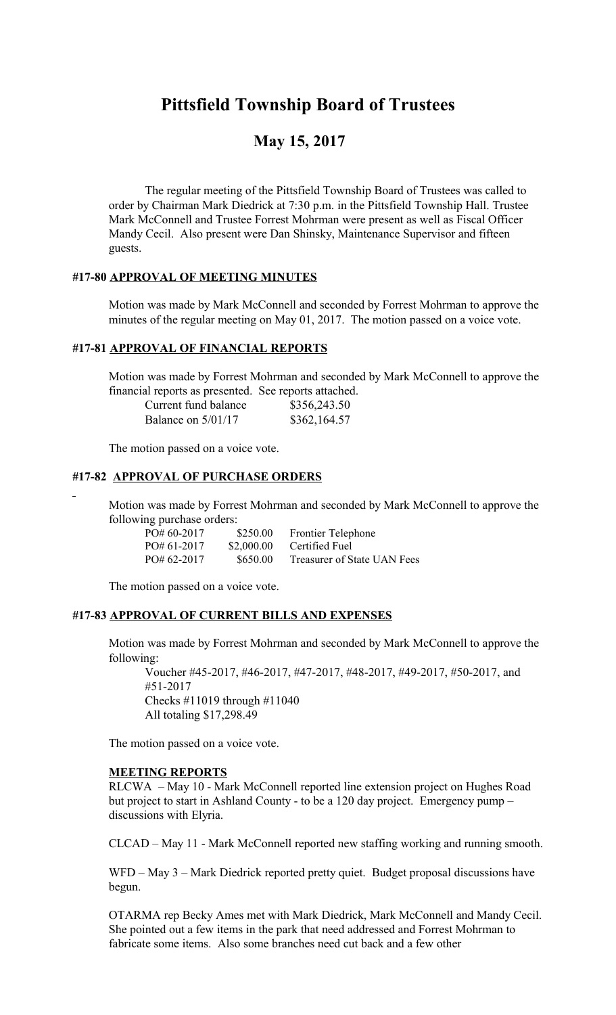# **Pittsfield Township Board of Trustees**

## **May 15, 2017**

The regular meeting of the Pittsfield Township Board of Trustees was called to order by Chairman Mark Diedrick at 7:30 p.m. in the Pittsfield Township Hall. Trustee Mark McConnell and Trustee Forrest Mohrman were present as well as Fiscal Officer Mandy Cecil. Also present were Dan Shinsky, Maintenance Supervisor and fifteen guests.

#### **#17-80 APPROVAL OF MEETING MINUTES**

Motion was made by Mark McConnell and seconded by Forrest Mohrman to approve the minutes of the regular meeting on May 01, 2017. The motion passed on a voice vote.

### **#17-81 APPROVAL OF FINANCIAL REPORTS**

Motion was made by Forrest Mohrman and seconded by Mark McConnell to approve the financial reports as presented. See reports attached.

| Current fund balance | \$356,243.50 |
|----------------------|--------------|
| Balance on $5/01/17$ | \$362,164.57 |

The motion passed on a voice vote.

#### **#17-82 APPROVAL OF PURCHASE ORDERS**

Motion was made by Forrest Mohrman and seconded by Mark McConnell to approve the following purchase orders:

| $PO# 60-2017$ | \$250.00   | <b>Frontier Telephone</b>   |
|---------------|------------|-----------------------------|
| $PO#61-2017$  | \$2,000.00 | Certified Fuel              |
| $PO#62-2017$  | \$650.00   | Treasurer of State UAN Fees |

The motion passed on a voice vote.

#### **#17-83 APPROVAL OF CURRENT BILLS AND EXPENSES**

Motion was made by Forrest Mohrman and seconded by Mark McConnell to approve the following:

Voucher #45-2017, #46-2017, #47-2017, #48-2017, #49-2017, #50-2017, and #51-2017 Checks #11019 through #11040 All totaling \$17,298.49

The motion passed on a voice vote.

#### **MEETING REPORTS**

RLCWA – May 10 - Mark McConnell reported line extension project on Hughes Road but project to start in Ashland County - to be a 120 day project. Emergency pump – discussions with Elyria.

CLCAD – May 11 - Mark McConnell reported new staffing working and running smooth.

WFD – May 3 – Mark Diedrick reported pretty quiet. Budget proposal discussions have begun.

OTARMA rep Becky Ames met with Mark Diedrick, Mark McConnell and Mandy Cecil. She pointed out a few items in the park that need addressed and Forrest Mohrman to fabricate some items. Also some branches need cut back and a few other